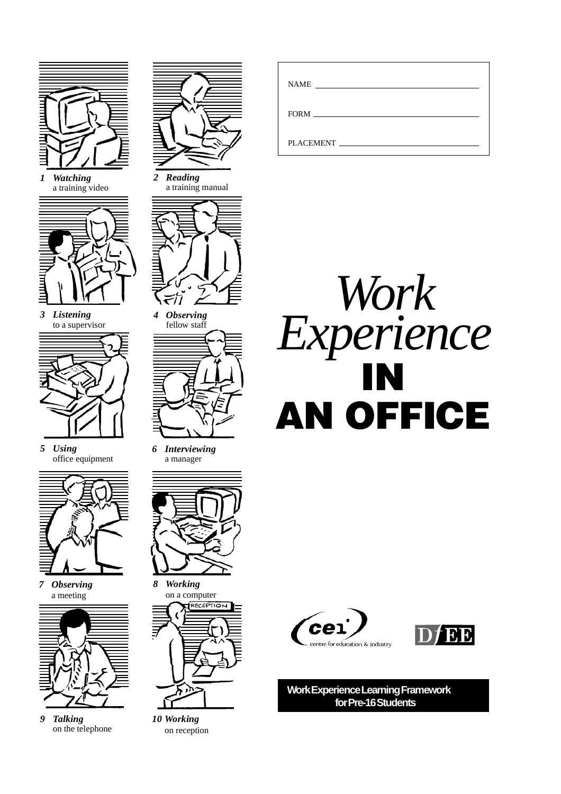

*1 Watching* a training video



*3 Listening* to a supervisor



*5 Using* office equipment



*7 Observing* a meeting



*9 Talking* on the telephone



*2 Reading* a training manual



*4 Observing* fellow staff



*6 Interviewing* a manager



*8 Working* on a computer **IRECEPTION** 

*10 Working* on reception

| <b>NAME</b><br><u> 1989 - John Stein, Amerikaansk politiker (</u> |
|-------------------------------------------------------------------|
|                                                                   |
| <b>PLACEMENT</b>                                                  |







**Work Experience Learning Framework for Pre-16 Students**